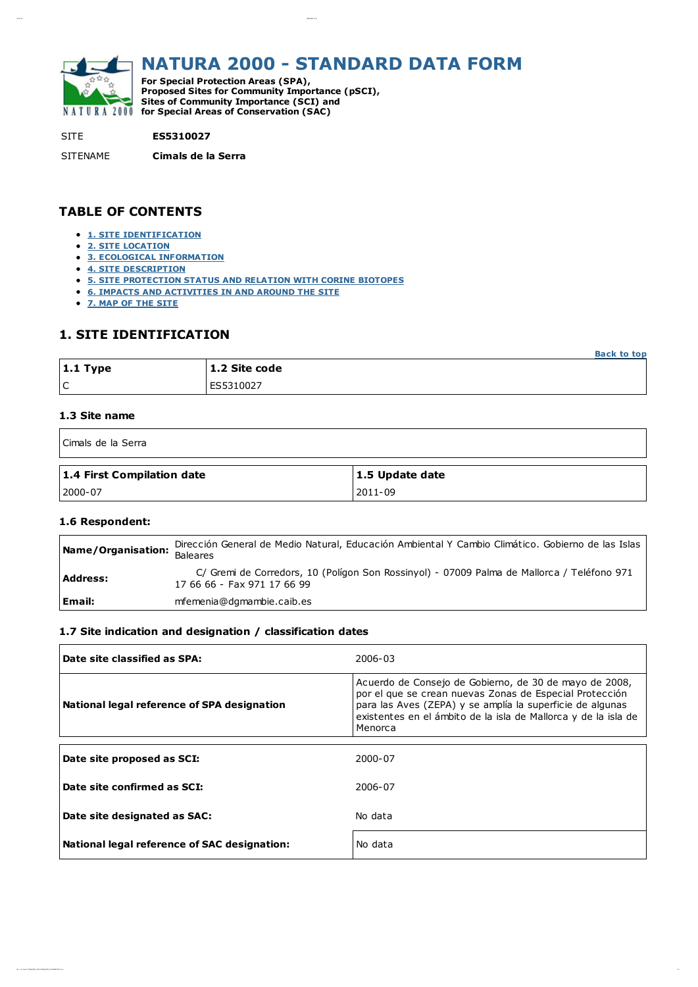

# NATURA 2000 - STANDARD DATA FORM

For Special Protection Areas (SPA), Proposed Sites for Community Importance (pSCI), Sites of Community Importance (SCI) and NATURA 2000 for Special Areas of Conservation (SAC)

#### SITE **ES5310027**

SITENAME Cimals de la Serra

05/ 10/ 12 ES5310027. ht m l

## TABLE OF CONTENTS

- **1. SITE [IDENTIFICATION](file:///H:/escrit/FICHAS_HTLM_2012/FICHAS_HTLM_2012/ES5310027.html#1)**
- 2. SITE [LOCATION](file:///H:/escrit/FICHAS_HTLM_2012/FICHAS_HTLM_2012/ES5310027.html#2)
- **3. ECOLOGICAL [INFORMATION](file:///H:/escrit/FICHAS_HTLM_2012/FICHAS_HTLM_2012/ES5310027.html#3)**
- 4. SITE [DESCRIPTION](file:///H:/escrit/FICHAS_HTLM_2012/FICHAS_HTLM_2012/ES5310027.html#4)
- 5. SITE [PROTECTION](file:///H:/escrit/FICHAS_HTLM_2012/FICHAS_HTLM_2012/ES5310027.html#5) STATUS AND RELATION WITH CORINE BIOTOPES
- 6. IMPACTS AND [ACTIVITIES](file:///H:/escrit/FICHAS_HTLM_2012/FICHAS_HTLM_2012/ES5310027.html#6) IN AND AROUND THE SITE
- 7. MAP OF THE [SITE](file:///H:/escrit/FICHAS_HTLM_2012/FICHAS_HTLM_2012/ES5310027.html#7)

## 1. SITE IDENTIFICATION

|                  |               | <b>Back to top</b> |
|------------------|---------------|--------------------|
| $\vert$ 1.1 Type | 1.2 Site code |                    |
| ١c               | lES5310027    |                    |

#### 1.3 Site name

| Cimals de la Serra         |                 |  |
|----------------------------|-----------------|--|
| 1.4 First Compilation date | 1.5 Update date |  |
| 2000-07                    | 2011-09         |  |

#### 1.6 Respondent:

| Name/Organisation: | Dirección General de Medio Natural, Educación Ambiental Y Cambio Climático. Gobierno de las Islas<br><b>Baleares</b>      |
|--------------------|---------------------------------------------------------------------------------------------------------------------------|
| <b>Address:</b>    | C/ Gremi de Corredors, 10 (Polígon Son Rossinyol) - 07009 Palma de Mallorca / Teléfono 971<br>17 66 66 - Fax 971 17 66 99 |
| Email:             | mfemenia@dgmambie.caib.es                                                                                                 |

#### 1.7 Site indication and designation / classification dates

| Date site classified as SPA:                 | 2006-03                                                                                                                                                                                                                                                     |
|----------------------------------------------|-------------------------------------------------------------------------------------------------------------------------------------------------------------------------------------------------------------------------------------------------------------|
| National legal reference of SPA designation  | Acuerdo de Consejo de Gobierno, de 30 de mayo de 2008,<br>por el que se crean nuevas Zonas de Especial Protección<br>para las Aves (ZEPA) y se amplía la superficie de algunas<br>existentes en el ámbito de la isla de Mallorca y de la isla de<br>Menorca |
| Date site proposed as SCI:                   | 2000-07                                                                                                                                                                                                                                                     |
| Date site confirmed as SCI:                  | 2006-07                                                                                                                                                                                                                                                     |
| Date site designated as SAC:                 | No data                                                                                                                                                                                                                                                     |
| National legal reference of SAC designation: | No data                                                                                                                                                                                                                                                     |

f ile: / // H: / escr it /FI CHAS\_HTLM \_2012/ FI CHAS\_HTLM \_2012/ ES5310027. ht m l1/ 5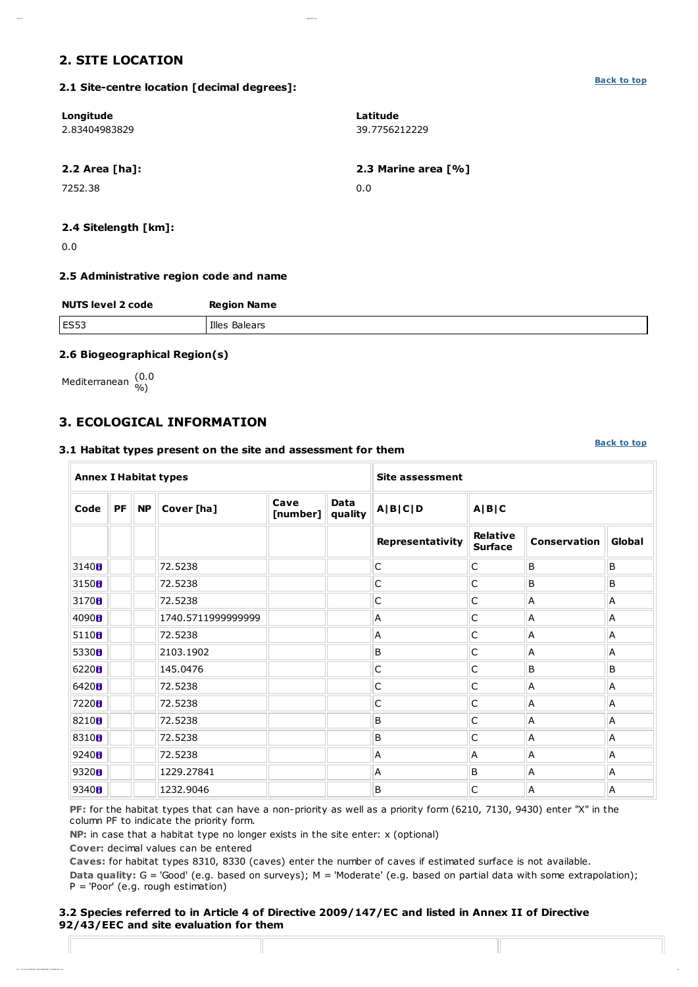## 2. SITE LOCATION

[Back](file:///H:/escrit/FICHAS_HTLM_2012/FICHAS_HTLM_2012/ES5310027.html#top) to top

#### 2.1 Site-centre location [decimal degrees]:

05/ 10/ 12 ES5310027. ht m l

| Longitude<br>2.83404983829 | Latitude<br>39.7756212229 |
|----------------------------|---------------------------|
| $2.2$ Area [ha]:           | 2.3 Marine area [%]       |
| 7252.38                    | 0.0                       |

### 2.4 Sitelength [km]:

0.0

#### 2.5 Administrative region code and name

| <b>NUTS level 2 code</b> | <b>Region Name</b> |
|--------------------------|--------------------|
| <b>ES53</b>              | Illes Balears      |
|                          |                    |

#### 2.6 Biogeographical Region(s)

Mediterranean (0.0 %)

## 3. ECOLOGICAL INFORMATION

#### 3.1 Habitat types present on the site and assessment for them

[Back](file:///H:/escrit/FICHAS_HTLM_2012/FICHAS_HTLM_2012/ES5310027.html#top) to top

| <b>Annex I Habitat types</b> |                                                                                                 |  |                    |  | <b>Site assessment</b> |                  |                                   |                     |        |
|------------------------------|-------------------------------------------------------------------------------------------------|--|--------------------|--|------------------------|------------------|-----------------------------------|---------------------|--------|
| Code                         | Cave<br><b>Data</b><br>PF<br><b>NP</b><br>Cover [ha]<br>A B C D<br>A B C<br>[number]<br>quality |  |                    |  |                        |                  |                                   |                     |        |
|                              |                                                                                                 |  |                    |  |                        | Representativity | <b>Relative</b><br><b>Surface</b> | <b>Conservation</b> | Global |
| 3140 <sub>0</sub>            |                                                                                                 |  | 72.5238            |  |                        | C                | C                                 | B                   | B      |
| 3150 <sub>0</sub>            |                                                                                                 |  | 72.5238            |  |                        | C                | C                                 | B                   | В      |
| 3170 <sub>0</sub>            |                                                                                                 |  | 72.5238            |  |                        | C                | C                                 | A                   | Α      |
| 4090 <sub>B</sub>            |                                                                                                 |  | 1740.5711999999999 |  |                        | Α                | C                                 | А                   | Α      |
| 5110 <sub>0</sub>            |                                                                                                 |  | 72.5238            |  |                        | Α                | C                                 | А                   | Α      |
| 5330 <sub>0</sub>            |                                                                                                 |  | 2103.1902          |  |                        | B                | C                                 | Α                   | Α      |
| 6220H                        |                                                                                                 |  | 145.0476           |  |                        | C                | C                                 | B                   | В      |
| 6420H                        |                                                                                                 |  | 72.5238            |  |                        | C                | $\mathsf C$                       | Α                   | Α      |
| 7220 <sub>8</sub>            |                                                                                                 |  | 72.5238            |  |                        | C                | C                                 | А                   | Α      |
| 8210 <sub>B</sub>            |                                                                                                 |  | 72.5238            |  |                        | B                | C                                 | Α                   | Α      |
| 8310 <sub>8</sub>            |                                                                                                 |  | 72.5238            |  |                        | B                | C                                 | A                   | Α      |
| 9240H                        |                                                                                                 |  | 72.5238            |  |                        | A                | A                                 | A                   | A      |
| 9320 <sub>8</sub>            |                                                                                                 |  | 1229.27841         |  |                        | А                | B                                 | Α                   | Α      |
| 9340 <sub>B</sub>            |                                                                                                 |  | 1232.9046          |  |                        | B                | C                                 | Α                   | Α      |

PF: for the habitat types that can have a non-priority as well as a priority form (6210, 7130, 9430) enter "X" in the column PF to indicate the priority form.

NP: in case that a habitat type no longer exists in the site enter: x (optional)

Cover: decimal values can be entered

Caves: for habitat types 8310, 8330 (caves) enter the number of caves if estimated surface is not available.

Data quality: G = 'Good' (e.g. based on surveys); M = 'Moderate' (e.g. based on partial data with some extrapolation); P = 'Poor' (e.g. rough estimation)

f ile: / // H: / escr it /FI CHAS\_HTLM \_2012/ FI CHAS\_HTLM \_2012/ ES5310027. ht m l2/ 5

#### 3.2 Species referred to in Article 4 of Directive 2009/147/EC and listed in Annex II of Directive 92/43/EEC and site evaluation for them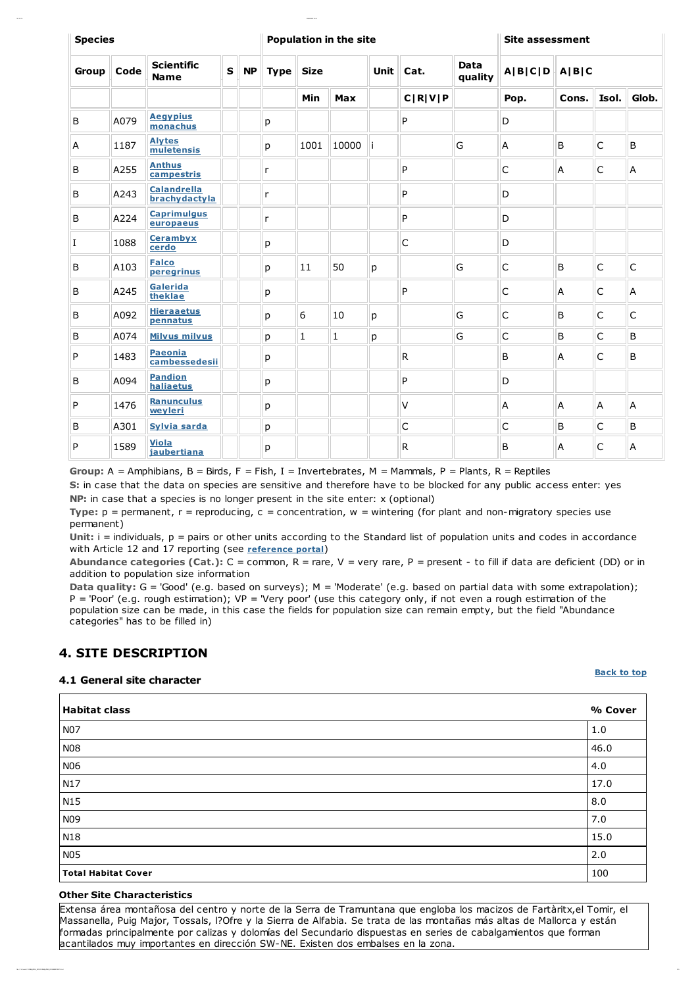| <b>Species</b> |      |                                     | <b>Population in the site</b> |           |              |              |              | <b>Site assessment</b> |                            |                 |                   |       |              |              |
|----------------|------|-------------------------------------|-------------------------------|-----------|--------------|--------------|--------------|------------------------|----------------------------|-----------------|-------------------|-------|--------------|--------------|
| Group          | Code | <b>Scientific</b><br><b>Name</b>    | $\mathbf{s}$                  | <b>NP</b> | <b>Type</b>  | <b>Size</b>  |              | <b>Unit</b>            | Cat.                       | Data<br>quality | $A B C D$ $A B C$ |       |              |              |
|                |      |                                     |                               |           |              | Min          | <b>Max</b>   |                        | C[ <b>R</b> ]V[ <b>P</b> ] |                 | Pop.              | Cons. | Isol.        | Glob.        |
| B              | A079 | <b>Aegypius</b><br>monachus         |                               |           | p            |              |              |                        | P                          |                 | D                 |       |              |              |
| A              | 1187 | <b>Alytes</b><br>muletensis         |                               |           | p            | 1001         | 10000        |                        |                            | G               | A                 | B     | $\mathsf{C}$ | B            |
| B              | A255 | <b>Anthus</b><br>campestris         |                               |           | r            |              |              |                        | P                          |                 | C                 | Α     | C            | A            |
| B              | A243 | <b>Calandrella</b><br>brachydactyla |                               |           | $\mathsf{r}$ |              |              |                        | P                          |                 | D                 |       |              |              |
| B              | A224 | <b>Caprimulgus</b><br>europaeus     |                               |           | $\mathsf{r}$ |              |              |                        | P                          |                 | D                 |       |              |              |
| I              | 1088 | <b>Cerambyx</b><br>cerdo            |                               |           | р            |              |              |                        | C                          |                 | D                 |       |              |              |
| B              | A103 | <b>Falco</b><br>peregrinus          |                               |           | p            | 11           | 50           | р                      |                            | G               | C                 | B     | $\mathsf{C}$ | $\mathsf C$  |
| B              | A245 | Galerida<br>theklae                 |                               |           | р            |              |              |                        | P                          |                 | С                 | Α     | C            | A            |
| B              | A092 | <b>Hieraaetus</b><br>pennatus       |                               |           | p            | 6            | 10           | p                      |                            | G               | C                 | B     | $\mathsf{C}$ | $\mathsf{C}$ |
| B              | A074 | <b>Milvus milvus</b>                |                               |           | p            | $\mathbf{1}$ | $\mathbf{1}$ | p                      |                            | G               | C                 | B     | C            | B            |
| P              | 1483 | Paeonia<br>cambessedesii            |                               |           | р            |              |              |                        | ${\sf R}$                  |                 | B                 | Α     | C            | B            |
| B              | A094 | <b>Pandion</b><br>haliaetus         |                               |           | р            |              |              |                        | P                          |                 | D                 |       |              |              |
| P              | 1476 | <b>Ranunculus</b><br>wevleri        |                               |           | p            |              |              |                        | $\vee$                     |                 | A                 | A     | A            | A            |
| B              | A301 | <b>Sylvia sarda</b>                 |                               |           | р            |              |              |                        | $\mathsf C$                |                 | C                 | B     | C            | B            |
| P              | 1589 | <b>Viola</b><br>jaubertiana         |                               |           | р            |              |              |                        | R                          |                 | B                 | Α     | C            | A            |

Group:  $A =$  Amphibians,  $B =$  Birds,  $F =$  Fish,  $I =$  Invertebrates,  $M =$  Mammals,  $P =$  Plants,  $R =$  Reptiles

S: in case that the data on species are sensitive and therefore have to be blocked for any public access enter: yes NP: in case that a species is no longer present in the site enter: x (optional)

Type:  $p =$  permanent,  $r =$  reproducing,  $c =$  concentration,  $w =$  wintering (for plant and non-migratory species use permanent)

Unit:  $i =$  individuals,  $p =$  pairs or other units according to the Standard list of population units and codes in accordance with Article 12 and 17 reporting (see [reference](http://bd.eionet.europa.eu/activities/Natura_2000/reference_portal) portal)

Abundance categories (Cat.):  $C =$  common,  $R =$  rare,  $V =$  very rare,  $P =$  present - to fill if data are deficient (DD) or in addition to population size information

Data quality: G = 'Good' (e.g. based on surveys); M = 'Moderate' (e.g. based on partial data with some extrapolation); P = 'Poor' (e.g. rough estimation); VP = 'Very poor' (use this category only, if not even a rough estimation of the population size can be made, in this case the fields for population size can remain empty, but the field "Abundance categories" has to be filled in)

## 4. SITE DESCRIPTION

05/ 10/ 12 ES5310027. ht m l

#### 4.1 General site character

#### [Back](file:///H:/escrit/FICHAS_HTLM_2012/FICHAS_HTLM_2012/ES5310027.html#top) to top

| <b>Habitat class</b>       | % Cover |
|----------------------------|---------|
| N07                        | 1.0     |
| <b>N08</b>                 | 46.0    |
| N06                        | 4.0     |
| N17                        | 17.0    |
| N <sub>15</sub>            | 8.0     |
| N <sub>09</sub>            | 7.0     |
| N18                        | 15.0    |
| <b>N05</b>                 | 2.0     |
| <b>Total Habitat Cover</b> | 100     |

#### Other Site Characteristics

Extensa área montañosa del centro y norte de la Serra de Tramuntana que engloba los macizos de Fartàritx,el Tomir, el Massanella, Puig Major, Tossals, l?Ofre y la Sierra de Alfabia. Se trata de las montañas más altas de Mallorca y están formadas principalmente por calizas y dolomías del Secundario dispuestas en series de cabalgamientos que forman acantilados muy importantes en dirección SW-NE. Existen dos embalses en la zona.

f ile: / // H: / escr it /FI CHAS\_HTLM \_2012/ FI CHAS\_HTLM \_2012/ ES5310027. ht m l3/ 5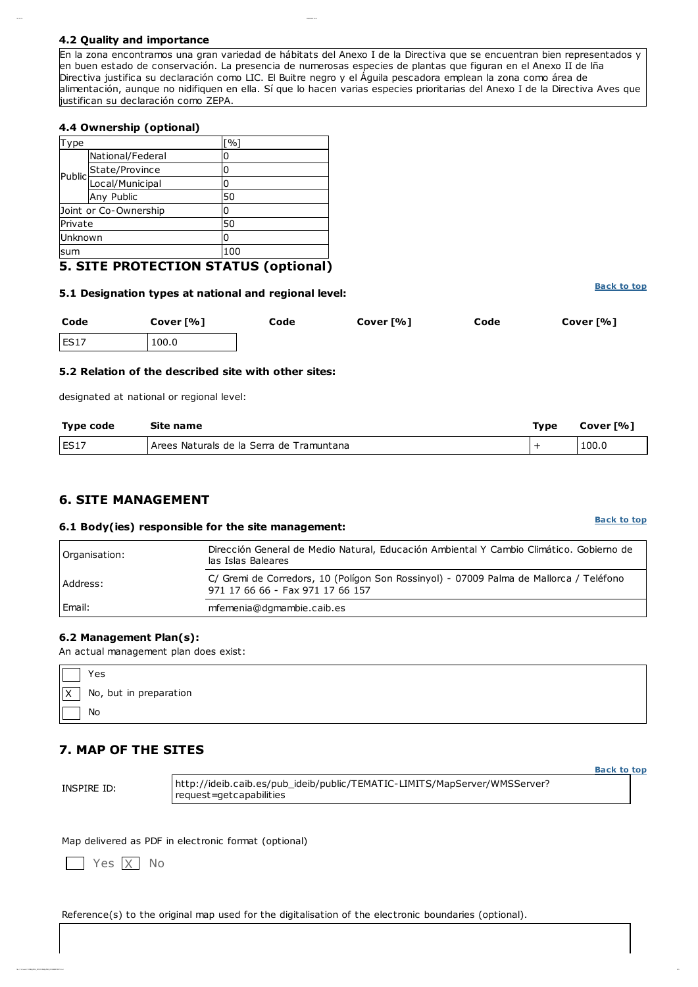#### 4.2 Quality and importance

05/ 10/ 12 ES5310027. ht m l

En la zona encontramos una gran variedad de hábitats del Anexo I de la Directiva que se encuentran bien representados y en buen estado de conservación. La presencia de numerosas especies de plantas que figuran en el Anexo II de lña Directiva justifica su declaración como LIC. El Buitre negro y el Águila pescadora emplean la zona como área de alimentación, aunque no nidifiquen en ella. Sí que lo hacen varias especies prioritarias del Anexo I de la Directiva Aves que justifican su declaración como ZEPA.

#### 4.4 Ownership (optional)

| Type    |                        | [%] |  |
|---------|------------------------|-----|--|
|         | National/Federal       |     |  |
|         | State/Province         |     |  |
|         | Public Duncy Municipal |     |  |
|         | Any Public             | 50  |  |
|         | Joint or Co-Ownership  |     |  |
| Private |                        | 50  |  |
| Unknown |                        | n   |  |
| sum     |                        | 100 |  |
|         |                        | .   |  |

## 5. SITE PROTECTION STATUS (optional)

#### 5.1 Designation types at national and regional level:

| Code | Cover [%] | Code | Cover [%] | Code | Cover [%] |
|------|-----------|------|-----------|------|-----------|
| ES17 | 100.0     |      |           |      |           |

#### 5.2 Relation of the described site with other sites:

designated at national or regional level:

| Type code   | Site name                                 | <b>Type</b> | Cover [%] |
|-------------|-------------------------------------------|-------------|-----------|
| <b>ES17</b> | LArees Naturals de la Serra de Tramuntana |             | 100.0     |

## 6. SITE MANAGEMENT

#### 6.1 Body(ies) responsible for the site management:

| Organisation: | Dirección General de Medio Natural, Educación Ambiental Y Cambio Climático. Gobierno de<br>las Islas Baleares              |
|---------------|----------------------------------------------------------------------------------------------------------------------------|
| Address:      | C/ Gremi de Corredors, 10 (Polígon Son Rossinyol) - 07009 Palma de Mallorca / Teléfono<br>971 17 66 66 - Fax 971 17 66 157 |
| Email:        | mfemenia@dgmambie.caib.es                                                                                                  |

#### 6.2 Management Plan(s):

An actual management plan does exist:

| Yes                        |
|----------------------------|
| $X$ No, but in preparation |
| No                         |

## 7. MAP OF THE SITES

INSPIRE ID:

http://ideib.caib.es/pub\_ideib/public/TEMATIC-LIMITS/MapServer/WMSServer? request=getcapabilities

f is a contract that in a contract in the  $\ell$  is a contract in a contract of the  $\ell$  is a contract in the second interact of the second interact of the second interact of the second interact of the second interact of th

Map delivered as PDF in electronic format (optional)

Yes X No

Reference(s) to the original map used for the digitalisation of the electronic boundaries (optional).

#### [Back](file:///H:/escrit/FICHAS_HTLM_2012/FICHAS_HTLM_2012/ES5310027.html#top) to top

[Back](file:///H:/escrit/FICHAS_HTLM_2012/FICHAS_HTLM_2012/ES5310027.html#top) to top

[Back](file:///H:/escrit/FICHAS_HTLM_2012/FICHAS_HTLM_2012/ES5310027.html#top) to top